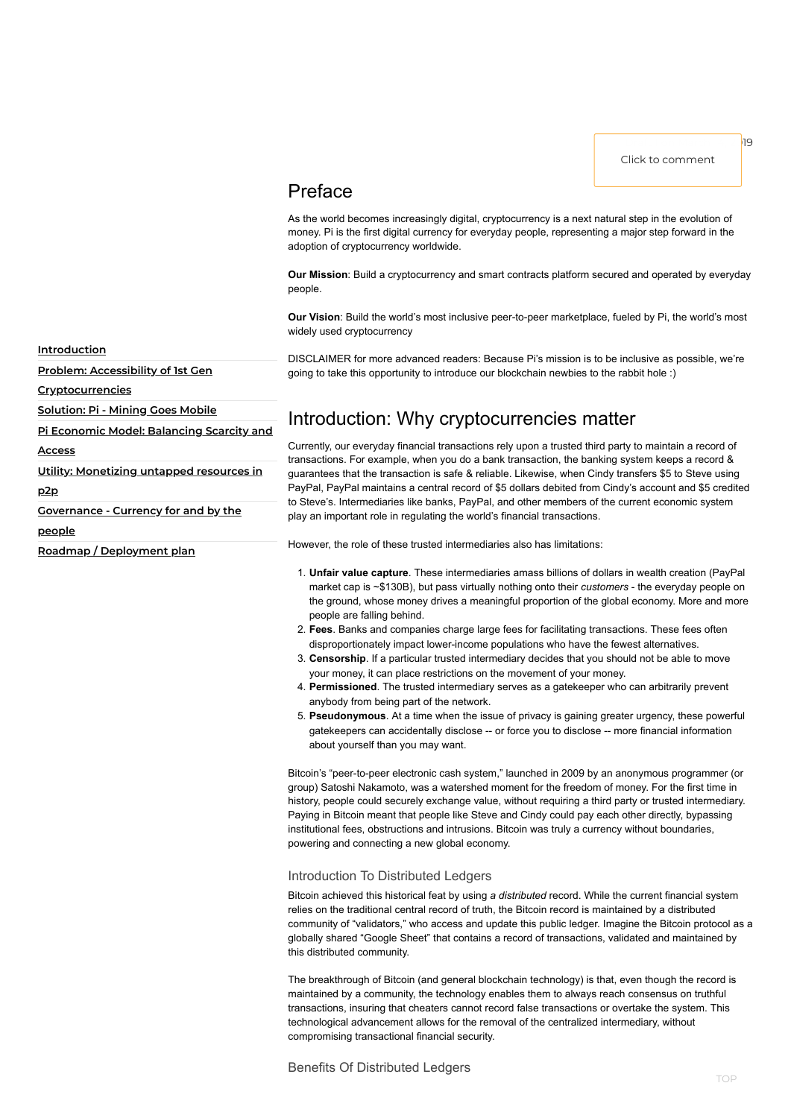## <span id="page-0-0"></span>Preface

As the world becomes increasingly digital, cryptocurrency is a next natural step in the evolution of money. Pi is the first digital currency for everyday people, representing a major step forward in the adoption of cryptocurrency worldwide.

**Our Mission**: Build a cryptocurrency and smart contracts platform secured and operated by everyday people.

**Our Vision**: Build the world's most inclusive peer-to-peer marketplace, fueled by Pi, the world's most widely used cryptocurrency

DISCLAIMER for more advanced readers: Because Pi's mission is to be inclusive as possible, we're going to take this opportunity to introduce our blockchain newbies to the rabbit hole :)

## Introduction: Why cryptocurrencies matter

Currently, our everyday financial transactions rely upon a trusted third party to maintain a record of transactions. For example, when you do a bank transaction, the banking system keeps a record & guarantees that the transaction is safe & reliable. Likewise, when Cindy transfers \$5 to Steve using PayPal, PayPal maintains a central record of \$5 dollars debited from Cindy's account and \$5 credited to Steve's. Intermediaries like banks, PayPal, and other members of the current economic system play an important role in regulating the world's financial transactions.

However, the role of these trusted intermediaries also has limitations:

- 1. **Unfair value capture**. These intermediaries amass billions of dollars in wealth creation (PayPal market cap is ~\$130B), but pass virtually nothing onto their *customers* - the everyday people on the ground, whose money drives a meaningful proportion of the global economy. More and more people are falling behind.
- 2. **Fees**. Banks and companies charge large fees for facilitating transactions. These fees often disproportionately impact lower-income populations who have the fewest alternatives.
- 3. **Censorship**. If a particular trusted intermediary decides that you should not be able to move your money, it can place restrictions on the movement of your money.
- 4. **Permissioned**. The trusted intermediary serves as a gatekeeper who can arbitrarily prevent anybody from being part of the network.
- 5. **Pseudonymous**. At a time when the issue of privacy is gaining greater urgency, these powerful gatekeepers can accidentally disclose -- or force you to disclose -- more financial information about yourself than you may want.

Bitcoin's "peer-to-peer electronic cash system," launched in 2009 by an anonymous programmer (or group) Satoshi Nakamoto, was a watershed moment for the freedom of money. For the first time in history, people could securely exchange value, without requiring a third party or trusted intermediary. Paying in Bitcoin meant that people like Steve and Cindy could pay each other directly, bypassing institutional fees, obstructions and intrusions. Bitcoin was truly a currency without boundaries,

powering and connecting a new global economy.

#### Introduction To Distributed Ledgers

Bitcoin achieved this historical feat by using *a distributed* record. While the current financial system relies on the traditional central record of truth, the Bitcoin record is maintained by a distributed community of "validators," who access and update this public ledger. Imagine the Bitcoin protocol as a globally shared "Google Sheet" that contains a record of transactions, validated and maintained by this distributed community.

The breakthrough of Bitcoin (and general blockchain technology) is that, even though the record is maintained by a community, the technology enables them to always reach consensus on truthful transactions, insuring that cheaters cannot record false transactions or overtake the system. This technological advancement allows for the removal of the centralized intermediary, without compromising transactional financial security.

Benefits Of Distributed Ledgers

#### **[Introduction](#page-0-0)**

**Problem: Accessibility of 1st Gen**

**[Cryptocurrencies](#page-1-0)**

**[Solution:](#page-2-0) Pi - Mining Goes Mobile**

**Pi Economic Model: [Balancing](#page-5-0) Scarcity and**

**Access**

**Utility: [Monetizing](#page-7-0) untapped resources in**

**p2p**

**[Governance](#page-8-0) - Currency for and by the**

**people**

**Roadmap / [Deployment](#page-9-0) plan**

Click to comment

Draft 1 on March 14, 20<mark>19</mark>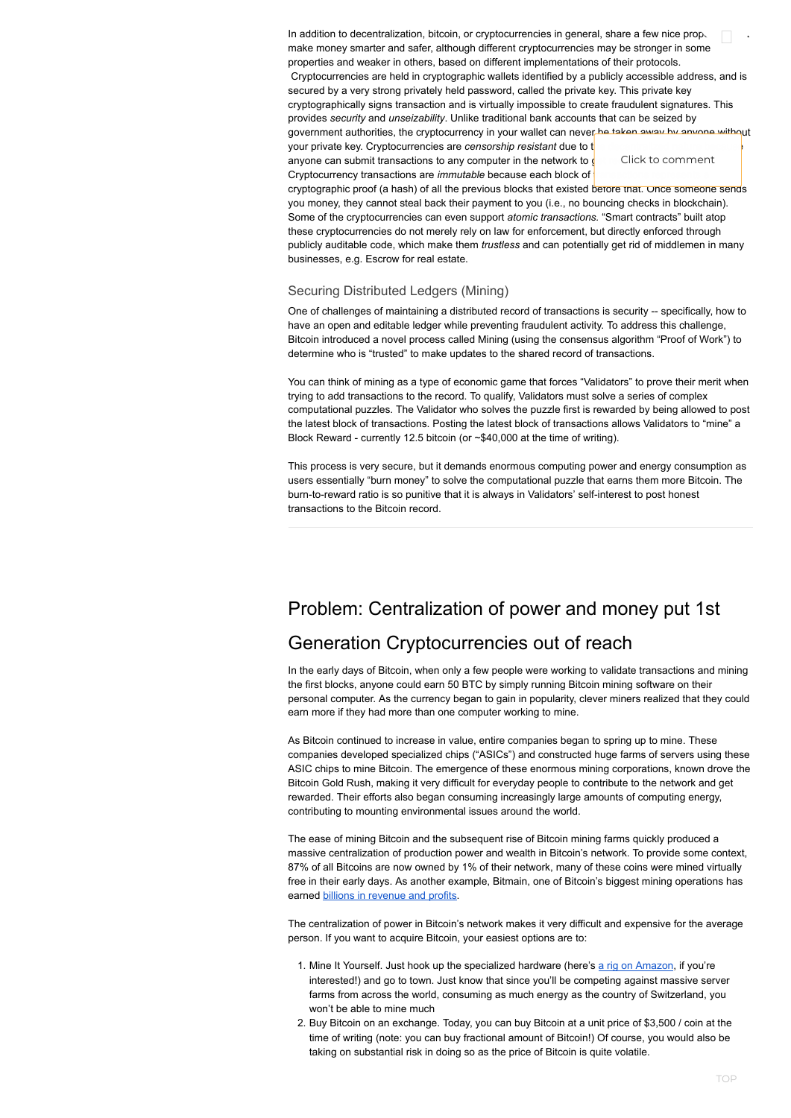In addition to decentralization, bitcoin, or cryptocurrencies in general, share a few nice properties make money smarter and safer, although different cryptocurrencies may be stronger in some properties and weaker in others, based on different implementations of their protocols. Cryptocurrencies are held in cryptographic wallets identified by a publicly accessible address, and is secured by a very strong privately held password, called the private key. This private key cryptographically signs transaction and is virtually impossible to create fraudulent signatures. This provides *security* and *unseizability*. Unlike traditional bank accounts that can be seized by government authorities, the cryptocurrency in your wallet can never be taken away by anyone without your private key. Cryptocurrencies are *censorship resistant* due to t anyone can submit transactions to any computer in the network to  $\oint$ Cryptocurrency transactions are *immutable* because each block of Click to comment  $\hfill \square$ 

cryptographic proof (a hash) of all the previous blocks that existed before that. Once someone sends you money, they cannot steal back their payment to you (i.e., no bouncing checks in blockchain). Some of the cryptocurrencies can even support *atomic transactions.* "Smart contracts" built atop these cryptocurrencies do not merely rely on law for enforcement, but directly enforced through publicly auditable code, which make them *trustless* and can potentially get rid of middlemen in many businesses, e.g. Escrow for real estate.

#### Securing Distributed Ledgers (Mining)

One of challenges of maintaining a distributed record of transactions is security -- specifically, how to have an open and editable ledger while preventing fraudulent activity. To address this challenge, Bitcoin introduced a novel process called Mining (using the consensus algorithm "Proof of Work") to determine who is "trusted" to make updates to the shared record of transactions.

You can think of mining as a type of economic game that forces "Validators" to prove their merit when trying to add transactions to the record. To qualify, Validators must solve a series of complex computational puzzles. The Validator who solves the puzzle first is rewarded by being allowed to post the latest block of transactions. Posting the latest block of transactions allows Validators to "mine" a Block Reward - currently 12.5 bitcoin (or ~\$40,000 at the time of writing).

- 1. Mine It Yourself. Just hook up the specialized hardware (here's a rig on [Amazon,](https://www.amazon.com/Bitmain-Antminer-S9-Bitcoin-Efficiency/dp/B01MCZVPFE/ref=sr_1_4?crid=1G3S0YNE4CD35&keywords=bitcoin+mining+rig&qid=1551842924&s=gateway&sprefix=bitcoin+mining+rig%2Caps%2C198&sr=8-4) if you're interested!) and go to town. Just know that since you'll be competing against massive server farms from across the world, consuming as much energy as the country of Switzerland, you won't be able to mine much
- 2. Buy Bitcoin on an exchange. Today, you can buy Bitcoin at a unit price of \$3,500 / coin at the time of writing (note: you can buy fractional amount of Bitcoin!) Of course, you would also be taking on substantial risk in doing so as the price of Bitcoin is quite volatile.

<span id="page-1-0"></span>This process is very secure, but it demands enormous computing power and energy consumption as users essentially "burn money" to solve the computational puzzle that earns them more Bitcoin. The burn-to-reward ratio is so punitive that it is always in Validators' self-interest to post honest transactions to the Bitcoin record.

# Problem: Centralization of power and money put 1st

## Generation Cryptocurrencies out of reach

In the early days of Bitcoin, when only a few people were working to validate transactions and mining the first blocks, anyone could earn 50 BTC by simply running Bitcoin mining software on their personal computer. As the currency began to gain in popularity, clever miners realized that they could earn more if they had more than one computer working to mine.

As Bitcoin continued to increase in value, entire companies began to spring up to mine. These companies developed specialized chips ("ASICs") and constructed huge farms of servers using these ASIC chips to mine Bitcoin. The emergence of these enormous mining corporations, known drove the Bitcoin Gold Rush, making it very difficult for everyday people to contribute to the network and get rewarded. Their efforts also began consuming increasingly large amounts of computing energy, contributing to mounting environmental issues around the world.

The ease of mining Bitcoin and the subsequent rise of Bitcoin mining farms quickly produced a

massive centralization of production power and wealth in Bitcoin's network. To provide some context, 87% of all Bitcoins are now owned by 1% of their network, many of these coins were mined virtually free in their early days. As another example, Bitmain, one of Bitcoin's biggest mining operations has earned billions in [revenue](https://www.coindesk.com/bitmain-by-the-numbers-an-inside-look-at-a-bitcoin-mining-empire) and profits.

The centralization of power in Bitcoin's network makes it very difficult and expensive for the average person. If you want to acquire Bitcoin, your easiest options are to: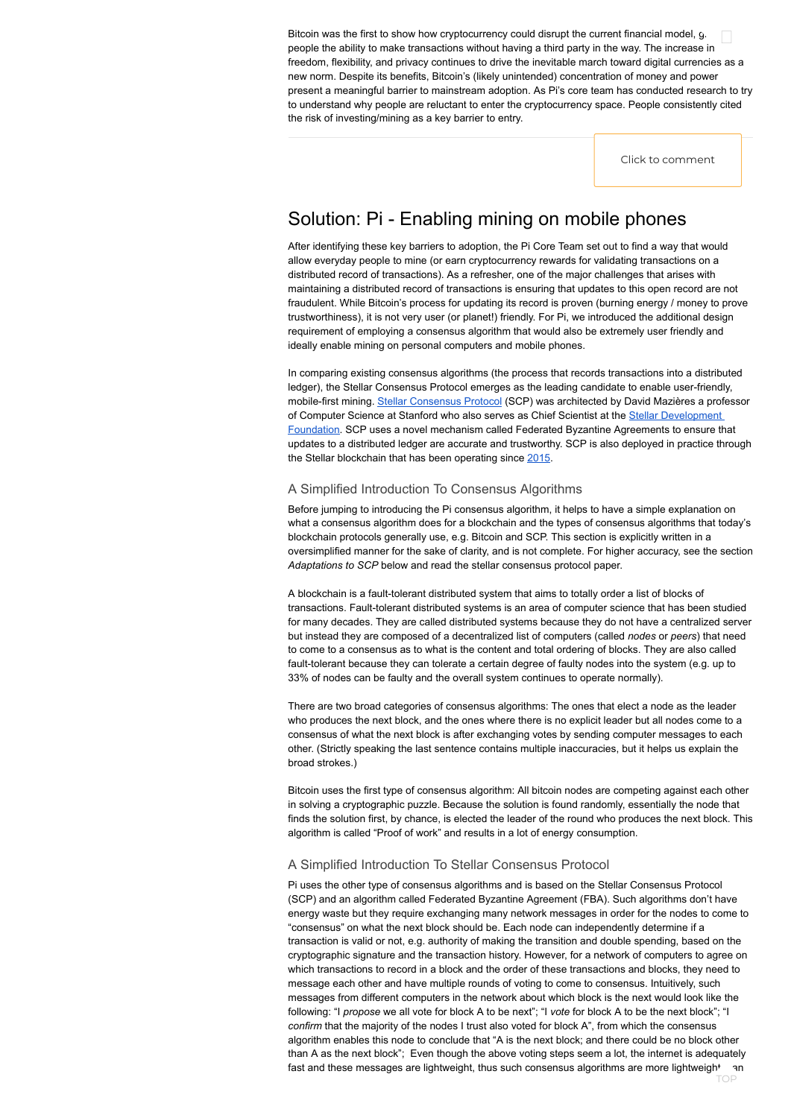## Solution: Pi - Enabling mining on mobile phones

After identifying these key barriers to adoption, the Pi Core Team set out to find a way that would allow everyday people to mine (or earn cryptocurrency rewards for validating transactions on a distributed record of transactions). As a refresher, one of the major challenges that arises with maintaining a distributed record of transactions is ensuring that updates to this open record are not fraudulent. While Bitcoin's process for updating its record is proven (burning energy / money to prove trustworthiness), it is not very user (or planet!) friendly. For Pi, we introduced the additional design requirement of employing a consensus algorithm that would also be extremely user friendly and ideally enable mining on personal computers and mobile phones.

In comparing existing consensus algorithms (the process that records transactions into a distributed ledger), the Stellar Consensus Protocol emerges as the leading candidate to enable user-friendly, mobile-first mining. Stellar [Consensus](https://www.stellar.org/papers/stellar-consensus-protocol.pdf) Protocol (SCP) was architected by David Mazières a professor of Computer Science at Stanford who also serves as Chief Scientist at the Stellar [Development](https://www.stellar.org/about/) Foundation. SCP uses a novel mechanism called Federated Byzantine Agreements to ensure that updates to a distributed ledger are accurate and trustworthy. SCP is also deployed in practice through the Stellar blockchain that has been operating since [2015.](https://stellar.expert/explorer/public/ledger/3)

#### A Simplified Introduction To Consensus Algorithms

Before jumping to introducing the Pi consensus algorithm, it helps to have a simple explanation on what a consensus algorithm does for a blockchain and the types of consensus algorithms that today's blockchain protocols generally use, e.g. Bitcoin and SCP. This section is explicitly written in a oversimplified manner for the sake of clarity, and is not complete. For higher accuracy, see the section *Adaptations to SCP* below and read the stellar consensus protocol paper.

A blockchain is a fault-tolerant distributed system that aims to totally order a list of blocks of transactions. Fault-tolerant distributed systems is an area of computer science that has been studied for many decades. They are called distributed systems because they do not have a centralized server but instead they are composed of a decentralized list of computers (called *nodes* or *peers*) that need to come to a consensus as to what is the content and total ordering of blocks. They are also called fault-tolerant because they can tolerate a certain degree of faulty nodes into the system (e.g. up to 33% of nodes can be faulty and the overall system continues to operate normally).

There are two broad categories of consensus algorithms: The ones that elect a node as the leader who produces the next block, and the ones where there is no explicit leader but all nodes come to a consensus of what the next block is after exchanging votes by sending computer messages to each other. (Strictly speaking the last sentence contains multiple inaccuracies, but it helps us explain the broad strokes.)

Bitcoin uses the first type of consensus algorithm: All bitcoin nodes are competing against each other in solving a cryptographic puzzle. Because the solution is found randomly, essentially the node that finds the solution first, by chance, is elected the leader of the round who produces the next block. This algorithm is called "Proof of work" and results in a lot of energy consumption.

#### A Simplified Introduction To Stellar Consensus Protocol

Pi uses the other type of consensus algorithms and is based on the Stellar Consensus Protocol (SCP) and an algorithm called Federated Byzantine Agreement (FBA). Such algorithms don't have energy waste but they require exchanging many network messages in order for the nodes to come to "consensus" on what the next block should be. Each node can independently determine if a transaction is valid or not, e.g. authority of making the transition and double spending, based on the cryptographic signature and the transaction history. However, for a network of computers to agree on which transactions to record in a block and the order of these transactions and blocks, they need to message each other and have multiple rounds of voting to come to consensus. Intuitively, such messages from different computers in the network about which block is the next would look like the following: "I *propose* we all vote for block A to be next"; "I *vote* for block A to be the next block"; "I *confirm* that the majority of the nodes I trust also voted for block A", from which the consensus algorithm enables this node to conclude that "A is the next block; and there could be no block other than A as the next block"; Even though the above voting steps seem a lot, the internet is adequately fast and these messages are lightweight, thus such consensus algorithms are more lightweigh<sup>+</sup> an TOP

<span id="page-2-0"></span>Bitcoin was the first to show how cryptocurrency could disrupt the current financial model, g. people the ability to make transactions without having a third party in the way. The increase in freedom, flexibility, and privacy continues to drive the inevitable march toward digital currencies as a new norm. Despite its benefits, Bitcoin's (likely unintended) concentration of money and power present a meaningful barrier to mainstream adoption. As Pi's core team has conducted research to try to understand why people are reluctant to enter the cryptocurrency space. People consistently cited the risk of investing/mining as a key barrier to entry.  $\hfill \square$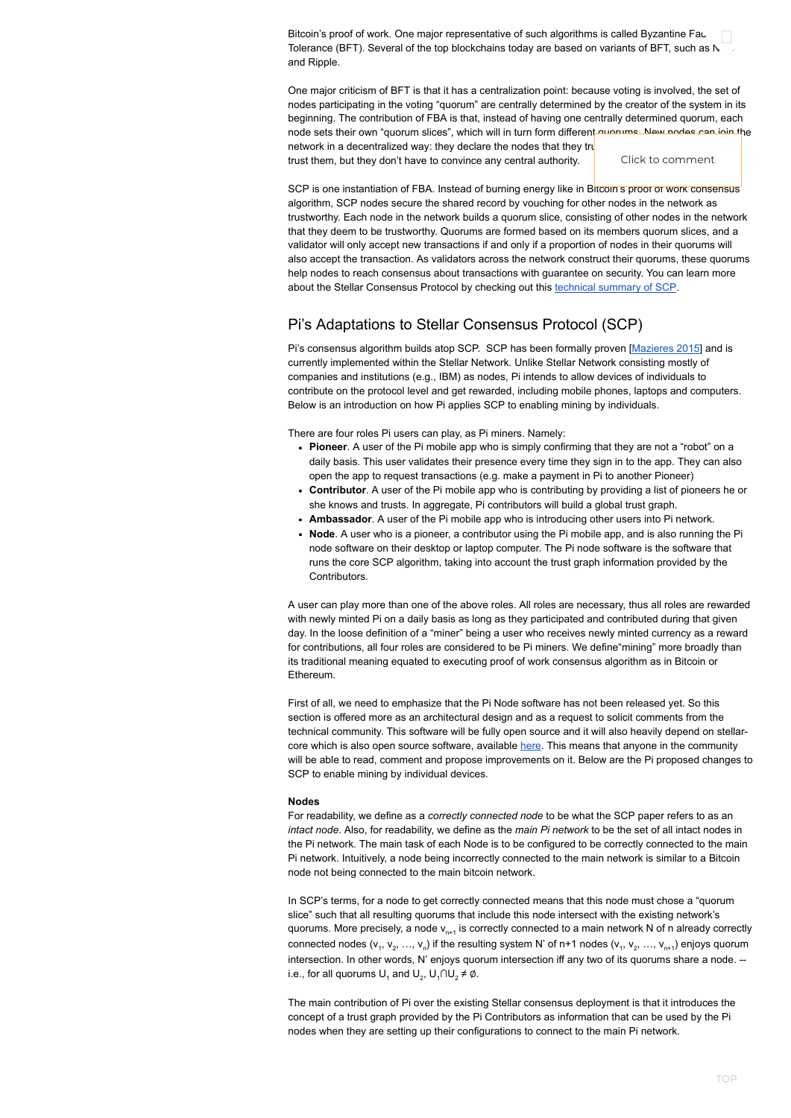Bitcoin's proof of work. One major representative of such algorithms is called Byzantine Fau Bitcoin's proof of work. One major representative of such algorithms is called Byzantine Fau. Interfact of the<br>Tolerance (BFT). Several of the top blockchains today are based on variants of BFT, such as N. . . . and Ripple.

One major criticism of BFT is that it has a centralization point: because voting is involved, the set of nodes participating in the voting "quorum" are centrally determined by the creator of the system in its beginning. The contribution of FBA is that, instead of having one centrally determined quorum, each node sets their own "quorum slices", which will in turn form different quorums. New nodes can join the network in a decentralized way: they declare the nodes that they tru

trust them, but they don't have to convince any central authority.

Pi's consensus algorithm builds atop SCP. SCP has been formally proven [[Mazieres](https://www.stellar.org/papers/stellar-consensus-protocol.pdf) 2015] and is currently implemented within the Stellar Network. Unlike Stellar Network consisting mostly of companies and institutions (e.g., IBM) as nodes, Pi intends to allow devices of individuals to contribute on the protocol level and get rewarded, including mobile phones, laptops and computers. Below is an introduction on how Pi applies SCP to enabling mining by individuals.

### Pi's Adaptations to Stellar Consensus Protocol (SCP)

There are four roles Pi users can play, as Pi miners. Namely:

In SCP's terms, for a node to get correctly connected means that this node must chose a "quorum slice" such that all resulting quorums that include this node intersect with the existing network's quorums. More precisely, a node v $_{\sf n+1}$  is correctly connected to a main network N of n already correctly connected nodes (v<sub>1</sub>, v<sub>2</sub>, …, v<sub>n</sub>) if the resulting system N' of n+1 nodes (v<sub>1</sub>, v<sub>2</sub>, …, v<sub>n+1</sub>) enjoys quorum intersection. In other words, N' enjoys quorum intersection iff any two of its quorums share a node. - i.e., for all quorums  $\mathsf{U}_1$  and  $\mathsf{U}_2$ ,  $\mathsf{U}_1\cap\mathsf{U}_2\neq\emptyset$ .

- **Pioneer**. A user of the Pi mobile app who is simply confirming that they are not a "robot" on a daily basis. This user validates their presence every time they sign in to the app. They can also open the app to request transactions (e.g. make a payment in Pi to another Pioneer)
- **Contributor**. A user of the Pi mobile app who is contributing by providing a list of pioneers he or she knows and trusts. In aggregate, Pi contributors will build a global trust graph.
- **Ambassador**. A user of the Pi mobile app who is introducing other users into Pi network.
- **Node**. A user who is a pioneer, a contributor using the Pi mobile app, and is also running the Pi node software on their desktop or laptop computer. The Pi node software is the software that runs the core SCP algorithm, taking into account the trust graph information provided by the Contributors.

A user can play more than one of the above roles. All roles are necessary, thus all roles are rewarded with newly minted Pi on a daily basis as long as they participated and contributed during that given day. In the loose definition of a "miner" being a user who receives newly minted currency as a reward for contributions, all four roles are considered to be Pi miners. We define"mining" more broadly than its traditional meaning equated to executing proof of work consensus algorithm as in Bitcoin or Ethereum.

First of all, we need to emphasize that the Pi Node software has not been released yet. So this section is offered more as an architectural design and as a request to solicit comments from the technical community. This software will be fully open source and it will also heavily depend on stellarcore which is also open source software, available [here.](https://github.com/stellar/stellar-core) This means that anyone in the community will be able to read, comment and propose improvements on it. Below are the Pi proposed changes to SCP to enable mining by individual devices.

#### **Nodes**

For readability, we define as a *correctly connected node* to be what the SCP paper refers to as an *intact node*. Also, for readability, we define as the *main Pi network* to be the set of all intact nodes in the Pi network. The main task of each Node is to be configured to be correctly connected to the main Pi network. Intuitively, a node being incorrectly connected to the main network is similar to a Bitcoin node not being connected to the main bitcoin network.

The main contribution of Pi over the existing Stellar consensus deployment is that it introduces the concept of a trust graph provided by the Pi Contributors as information that can be used by the Pi nodes when they are setting up their configurations to connect to the main Pi network.

Click to comment

SCP is one instantiation of FBA. Instead of burning energy like in Bitcoin's proof of work consensus algorithm, SCP nodes secure the shared record by vouching for other nodes in the network as trustworthy. Each node in the network builds a quorum slice, consisting of other nodes in the network that they deem to be trustworthy. Quorums are formed based on its members quorum slices, and a validator will only accept new transactions if and only if a proportion of nodes in their quorums will also accept the transaction. As validators across the network construct their quorums, these quorums help nodes to reach consensus about transactions with guarantee on security. You can learn more about the Stellar Consensus Protocol by checking out this technical [summary](https://medium.com/stellar-development-foundation/on-worldwide-consensus-359e9eb3e949) of SCP.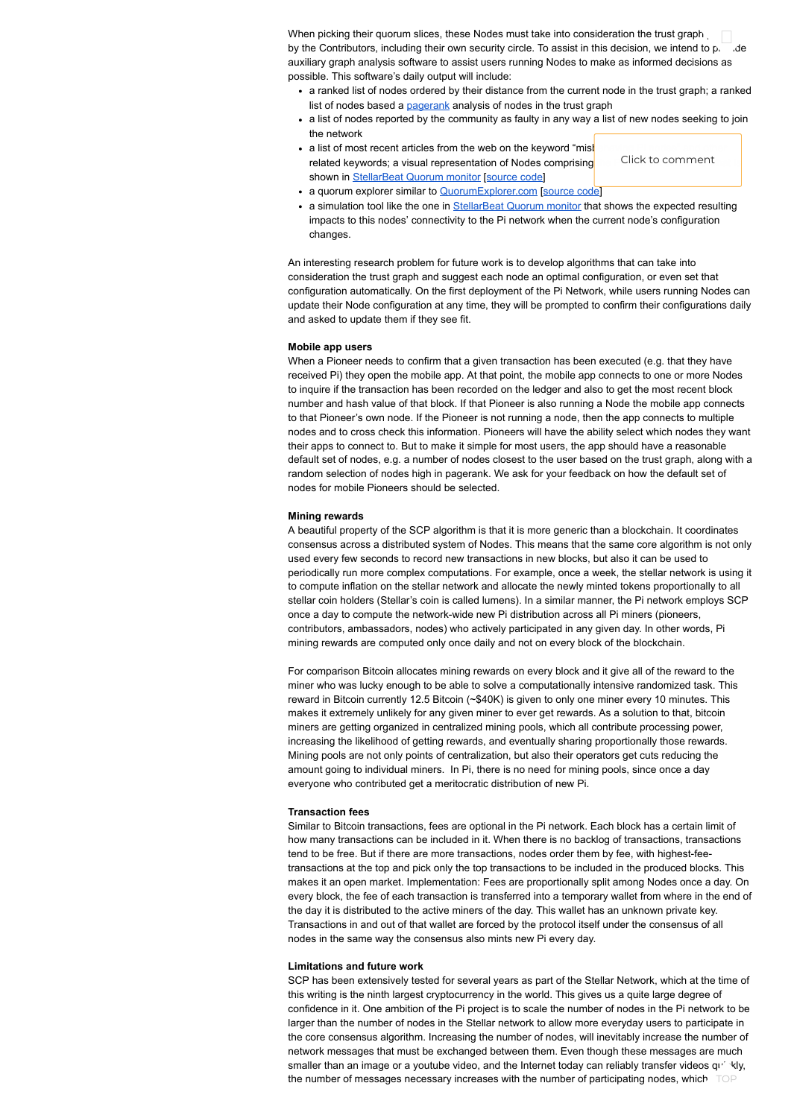When picking their quorum slices, these Nodes must take into consideration the trust graph When picking their quorum slices, these Nodes must take into consideration the trust graph  $\overline{\phantom{a}}$  ,  $\overline{\phantom{a}}$  ,  $\overline{\phantom{a}}$  ,  $\overline{\phantom{a}}$  ,  $\overline{\phantom{a}}$  ,  $\overline{\phantom{a}}$  ,  $\overline{\phantom{a}}$  ,  $\overline{\phantom{a}}$  ,  $\overline{\phantom{a}}$  ,  $\overline{\$ auxiliary graph analysis software to assist users running Nodes to make as informed decisions as possible. This software's daily output will include:

- a quorum explorer similar to [QuorumExplorer.com](https://www.quorumexplorer.com/) [\[source](https://github.com/tinco/quorum_explorer) code]
- a simulation tool like the one in [StellarBeat](https://stellarbeat.io/quorum-monitor/) Quorum monitor that shows the expected resulting impacts to this nodes' connectivity to the Pi network when the current node's configuration changes.
- a ranked list of nodes ordered by their distance from the current node in the trust graph; a ranked list of nodes based a **[pagerank](https://en.wikipedia.org/wiki/PageRank)** analysis of nodes in the trust graph
- a list of nodes reported by the community as faulty in any way a list of new nodes seeking to join the network
- a list of most recent articles from the web on the keyword "mishest" related keywords; a visual representation of Nodes comprising shown in [StellarBeat](https://stellarbeat.io/quorum-monitor/) Quorum monitor [\[source](https://github.com/stellarbeat) code]

An interesting research problem for future work is to develop algorithms that can take into consideration the trust graph and suggest each node an optimal configuration, or even set that configuration automatically. On the first deployment of the Pi Network, while users running Nodes can update their Node configuration at any time, they will be prompted to confirm their configurations daily and asked to update them if they see fit.

#### **Mobile app users**

When a Pioneer needs to confirm that a given transaction has been executed (e.g. that they have received Pi) they open the mobile app. At that point, the mobile app connects to one or more Nodes to inquire if the transaction has been recorded on the ledger and also to get the most recent block number and hash value of that block. If that Pioneer is also running a Node the mobile app connects to that Pioneer's own node. If the Pioneer is not running a node, then the app connects to multiple nodes and to cross check this information. Pioneers will have the ability select which nodes they want their apps to connect to. But to make it simple for most users, the app should have a reasonable default set of nodes, e.g. a number of nodes closest to the user based on the trust graph, along with a random selection of nodes high in pagerank. We ask for your feedback on how the default set of nodes for mobile Pioneers should be selected.

#### **Mining rewards**

SCP has been extensively tested for several years as part of the Stellar Network, which at the time of this writing is the ninth largest cryptocurrency in the world. This gives us a quite large degree of confidence in it. One ambition of the Pi project is to scale the number of nodes in the Pi network to be larger than the number of nodes in the Stellar network to allow more everyday users to participate in the core consensus algorithm. Increasing the number of nodes, will inevitably increase the number of network messages that must be exchanged between them. Even though these messages are much smaller than an image or a youtube video, and the Internet today can reliably transfer videos quickly, the number of messages necessary increases with the number of participating nodes, which  $\top \text{OP}$ 

A beautiful property of the SCP algorithm is that it is more generic than a blockchain. It coordinates consensus across a distributed system of Nodes. This means that the same core algorithm is not only used every few seconds to record new transactions in new blocks, but also it can be used to periodically run more complex computations. For example, once a week, the stellar network is using it to compute inflation on the stellar network and allocate the newly minted tokens proportionally to all stellar coin holders (Stellar's coin is called lumens). In a similar manner, the Pi network employs SCP once a day to compute the network-wide new Pi distribution across all Pi miners (pioneers, contributors, ambassadors, nodes) who actively participated in any given day. In other words, Pi mining rewards are computed only once daily and not on every block of the blockchain.

For comparison Bitcoin allocates mining rewards on every block and it give all of the reward to the miner who was lucky enough to be able to solve a computationally intensive randomized task. This reward in Bitcoin currently 12.5 Bitcoin (~\$40K) is given to only one miner every 10 minutes. This makes it extremely unlikely for any given miner to ever get rewards. As a solution to that, bitcoin miners are getting organized in centralized mining pools, which all contribute processing power, increasing the likelihood of getting rewards, and eventually sharing proportionally those rewards. Mining pools are not only points of centralization, but also their operators get cuts reducing the amount going to individual miners. In Pi, there is no need for mining pools, since once a day everyone who contributed get a meritocratic distribution of new Pi.

#### **Transaction fees**

Similar to Bitcoin transactions, fees are optional in the Pi network. Each block has a certain limit of how many transactions can be included in it. When there is no backlog of transactions, transactions tend to be free. But if there are more transactions, nodes order them by fee, with highest-feetransactions at the top and pick only the top transactions to be included in the produced blocks. This makes it an open market. Implementation: Fees are proportionally split among Nodes once a day. On every block, the fee of each transaction is transferred into a temporary wallet from where in the end of the day it is distributed to the active miners of the day. This wallet has an unknown private key. Transactions in and out of that wallet are forced by the protocol itself under the consensus of all nodes in the same way the consensus also mints new Pi every day.

#### **Limitations and future work**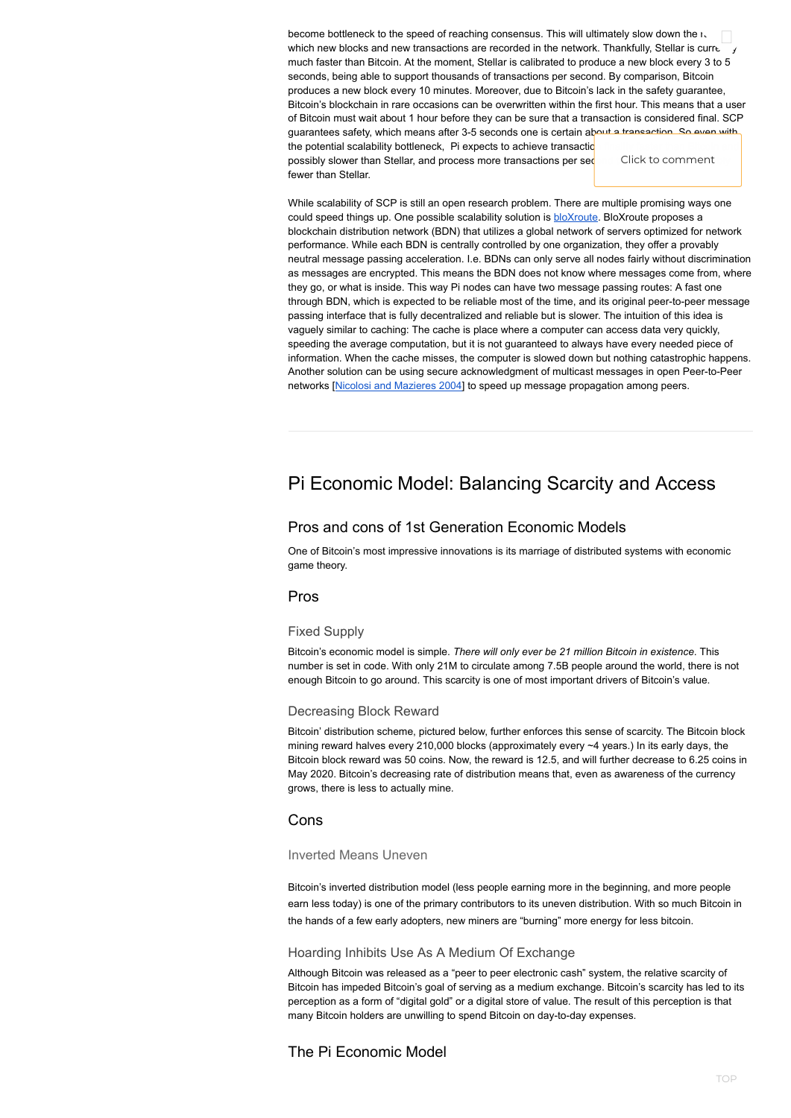become bottleneck to the speed of reaching consensus. This will ultimately slow down the  $\iota$ , become bottleneck to the speed of reaching consensus. This will ultimately slow down the ready in the stellar<br>which new blocks and new transactions are recorded in the network. Thankfully, Stellar is curre much faster than Bitcoin. At the moment, Stellar is calibrated to produce a new block every 3 to 5 seconds, being able to support thousands of transactions per second. By comparison, Bitcoin produces a new block every 10 minutes. Moreover, due to Bitcoin's lack in the safety guarantee, Bitcoin's blockchain in rare occasions can be overwritten within the first hour. This means that a user of Bitcoin must wait about 1 hour before they can be sure that a transaction is considered final. SCP guarantees safety, which means after 3-5 seconds one is certain about a transaction. So even with

the potential scalability bottleneck, Pi expects to achieve transactic possibly slower than Stellar, and process more transactions per sed fewer than Stellar.

While scalability of SCP is still an open research problem. There are multiple promising ways one could speed things up. One possible scalability solution is [bloXroute.](https://bloxroute.com/) BloXroute proposes a blockchain distribution network (BDN) that utilizes a global network of servers optimized for network performance. While each BDN is centrally controlled by one organization, they offer a provably neutral message passing acceleration. I.e. BDNs can only serve all nodes fairly without discrimination as messages are encrypted. This means the BDN does not know where messages come from, where they go, or what is inside. This way Pi nodes can have two message passing routes: A fast one through BDN, which is expected to be reliable most of the time, and its original peer-to-peer message passing interface that is fully decentralized and reliable but is slower. The intuition of this idea is vaguely similar to caching: The cache is place where a computer can access data very quickly, speeding the average computation, but it is not guaranteed to always have every needed piece of information. When the cache misses, the computer is slowed down but nothing catastrophic happens. Another solution can be using secure acknowledgment of multicast messages in open Peer-to-Peer networks [Nicolosi and [Mazieres](http://www.scs.stanford.edu/~dm/home/papers/nicolosi:ack.pdf) 2004] to speed up message propagation among peers.

## <span id="page-5-0"></span>Pi Economic Model: Balancing Scarcity and Access

### Pros and cons of 1st Generation Economic Models

One of Bitcoin's most impressive innovations is its marriage of distributed systems with economic game theory.

### Pros

#### Fixed Supply

Bitcoin's economic model is simple. *There will only ever be 21 million Bitcoin in existence*. This number is set in code. With only 21M to circulate among 7.5B people around the world, there is not enough Bitcoin to go around. This scarcity is one of most important drivers of Bitcoin's value.

#### Decreasing Block Reward

Bitcoin' distribution scheme, pictured below, further enforces this sense of scarcity. The Bitcoin block mining reward halves every 210,000 blocks (approximately every ~4 years.) In its early days, the Bitcoin block reward was 50 coins. Now, the reward is 12.5, and will further decrease to 6.25 coins in May 2020. Bitcoin's decreasing rate of distribution means that, even as awareness of the currency grows, there is less to actually mine.

#### Inverted Means Uneven

Bitcoin's inverted distribution model (less people earning more in the beginning, and more people earn less today) is one of the primary contributors to its uneven distribution. With so much Bitcoin in the hands of a few early adopters, new miners are "burning" more energy for less bitcoin.

#### Hoarding Inhibits Use As A Medium Of Exchange

Although Bitcoin was released as a "peer to peer electronic cash" system, the relative scarcity of Bitcoin has impeded Bitcoin's goal of serving as a medium exchange. Bitcoin's scarcity has led to its perception as a form of "digital gold" or a digital store of value. The result of this perception is that many Bitcoin holders are unwilling to spend Bitcoin on day-to-day expenses.

### The Pi Economic Model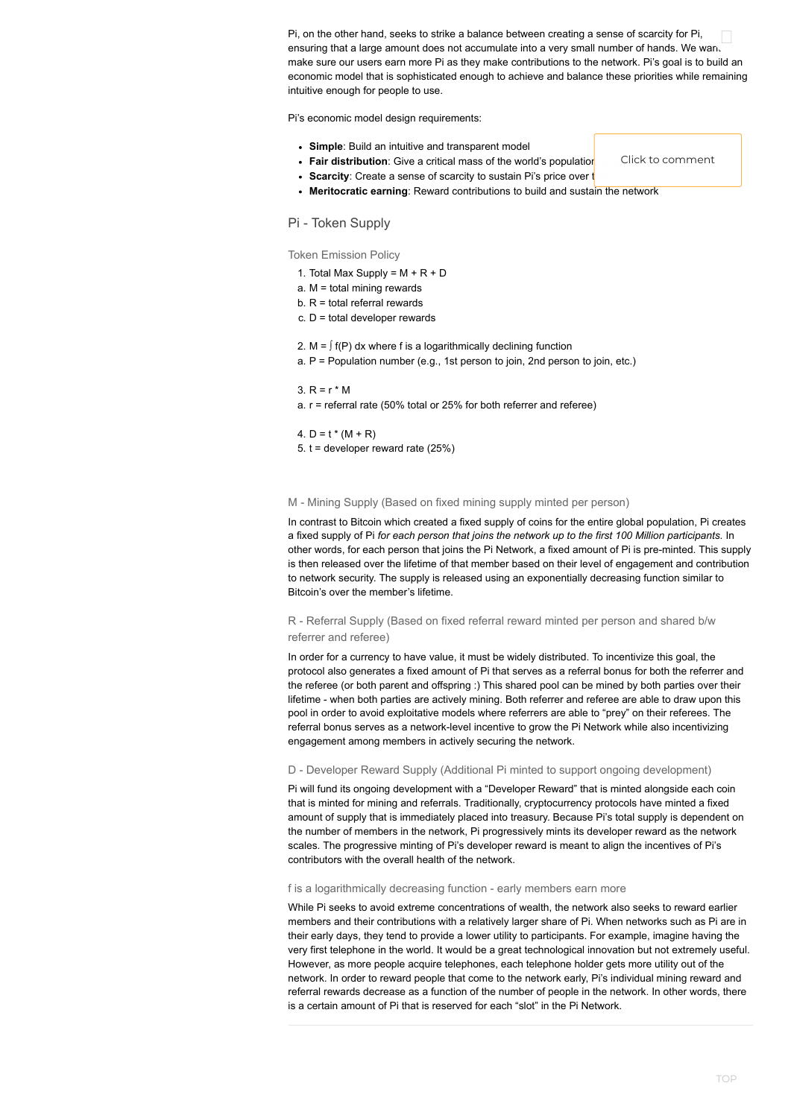Pi's economic model design requirements:

- 1. Total Max Supply =  $M + R + D$
- a. M = total mining rewards
- b.  $R =$  total referral rewards
- $c. D =$  total developer rewards
- 2. M =  $\int f(P) dx$  where f is a logarithmically declining function
- a. P = Population number (e.g., 1st person to join, 2nd person to join, etc.)

#### 3.  $R = r * M$

- **Simple**: Build an intuitive and transparent model
- Fair distribution: Give a critical mass of the world's population
- Scarcity: Create a sense of scarcity to sustain Pi's price over to
- **Meritocratic earning**: Reward contributions to build and sustain the network

#### Pi - Token Supply

Token Emission Policy

a. r = referral rate (50% total or 25% for both referrer and referee)

### 4.  $D = t * (M + R)$

5.  $t =$  developer reward rate (25%)

#### M - Mining Supply (Based on fixed mining supply minted per person)

In contrast to Bitcoin which created a fixed supply of coins for the entire global population, Pi creates a fixed supply of Pi *for each person that joins the network up to the first 100 Million participants.* In other words, for each person that joins the Pi Network, a fixed amount of Pi is pre-minted. This supply is then released over the lifetime of that member based on their level of engagement and contribution to network security. The supply is released using an exponentially decreasing function similar to Bitcoin's over the member's lifetime.

#### R - Referral Supply (Based on fixed referral reward minted per person and shared b/w referrer and referee)

In order for a currency to have value, it must be widely distributed. To incentivize this goal, the protocol also generates a fixed amount of Pi that serves as a referral bonus for both the referrer and the referee (or both parent and offspring :) This shared pool can be mined by both parties over their lifetime - when both parties are actively mining. Both referrer and referee are able to draw upon this pool in order to avoid exploitative models where referrers are able to "prey" on their referees. The referral bonus serves as a network-level incentive to grow the Pi Network while also incentivizing engagement among members in actively securing the network.

#### D - Developer Reward Supply (Additional Pi minted to support ongoing development)

Pi will fund its ongoing development with a "Developer Reward" that is minted alongside each coin that is minted for mining and referrals. Traditionally, cryptocurrency protocols have minted a fixed amount of supply that is immediately placed into treasury. Because Pi's total supply is dependent on the number of members in the network, Pi progressively mints its developer reward as the network scales. The progressive minting of Pi's developer reward is meant to align the incentives of Pi's contributors with the overall health of the network.

f is a logarithmically decreasing function - early members earn more

While Pi seeks to avoid extreme concentrations of wealth, the network also seeks to reward earlier members and their contributions with a relatively larger share of Pi. When networks such as Pi are in their early days, they tend to provide a lower utility to participants. For example, imagine having the very first telephone in the world. It would be a great technological innovation but not extremely useful. However, as more people acquire telephones, each telephone holder gets more utility out of the network. In order to reward people that come to the network early, Pi's individual mining reward and referral rewards decrease as a function of the number of people in the network. In other words, there is a certain amount of Pi that is reserved for each "slot" in the Pi Network.

Pi, on the other hand, seeks to strike a balance between creating a sense of scarcity for Pi, ensuring that a large amount does not accumulate into a very small number of hands. We wan. make sure our users earn more Pi as they make contributions to the network. Pi's goal is to build an economic model that is sophisticated enough to achieve and balance these priorities while remaining intuitive enough for people to use.  $\hfill \square$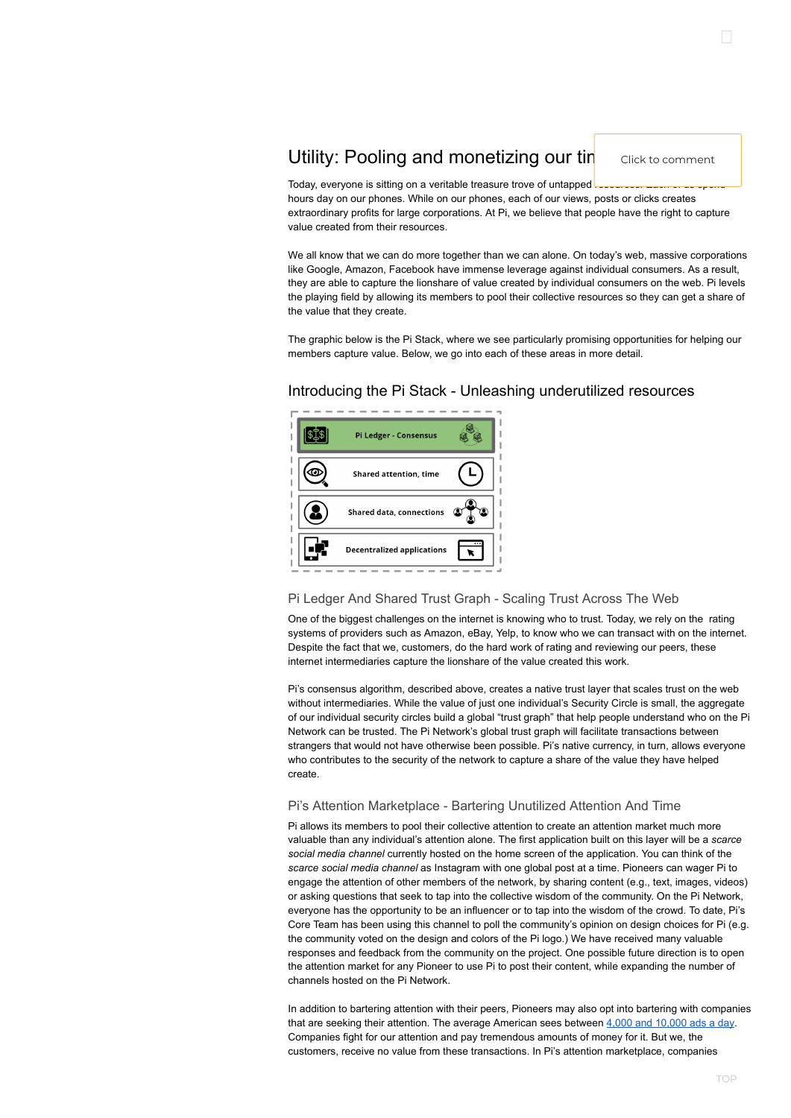Today, everyone is sitting on a veritable treasure trove of untapped reserves hours day on our phones. While on our phones, each of our views, posts or clicks creates extraordinary profits for large corporations. At Pi, we believe that people have the right to capture value created from their resources.

We all know that we can do more together than we can alone. On today's web, massive corporations like Google, Amazon, Facebook have immense leverage against individual consumers. As a result, they are able to capture the lionshare of value created by individual consumers on the web. Pi levels the playing field by allowing its members to pool their collective resources so they can get a share of the value that they create.

The graphic below is the Pi Stack, where we see particularly promising opportunities for helping our members capture value. Below, we go into each of these areas in more detail.



### Introducing the Pi Stack - Unleashing underutilized resources

#### Pi Ledger And Shared Trust Graph - Scaling Trust Across The Web

One of the biggest challenges on the internet is knowing who to trust. Today, we rely on the rating systems of providers such as Amazon, eBay, Yelp, to know who we can transact with on the internet. Despite the fact that we, customers, do the hard work of rating and reviewing our peers, these internet intermediaries capture the lionshare of the value created this work.

Pi's consensus algorithm, described above, creates a native trust layer that scales trust on the web without intermediaries. While the value of just one individual's Security Circle is small, the aggregate of our individual security circles build a global "trust graph" that help people understand who on the Pi Network can be trusted. The Pi Network's global trust graph will facilitate transactions between strangers that would not have otherwise been possible. Pi's native currency, in turn, allows everyone who contributes to the security of the network to capture a share of the value they have helped create.

#### Pi's Attention Marketplace - Bartering Unutilized Attention And Time

Pi allows its members to pool their collective attention to create an attention market much more valuable than any individual's attention alone. The first application built on this layer will be a *scarce*

*social media channel* currently hosted on the home screen of the application. You can think of the *scarce social media channel* as Instagram with one global post at a time. Pioneers can wager Pi to engage the attention of other members of the network, by sharing content (e.g., text, images, videos) or asking questions that seek to tap into the collective wisdom of the community. On the Pi Network, everyone has the opportunity to be an influencer or to tap into the wisdom of the crowd. To date, Pi's Core Team has been using this channel to poll the community's opinion on design choices for Pi (e.g. the community voted on the design and colors of the Pi logo.) We have received many valuable responses and feedback from the community on the project. One possible future direction is to open the attention market for any Pioneer to use Pi to post their content, while expanding the number of channels hosted on the Pi Network.

In addition to bartering attention with their peers, Pioneers may also opt into bartering with companies that are seeking their attention. The average American sees between 4,000 and [10,000](https://www.forbes.com/sites/forbesagencycouncil/2017/08/25/finding-brand-success-in-the-digital-world/#15fac33626e2) ads a day. Companies fight for our attention and pay tremendous amounts of money for it. But we, the customers, receive no value from these transactions. In Pi's attention marketplace, companies

## <span id="page-7-0"></span>Utility: Pooling and monetizing our tin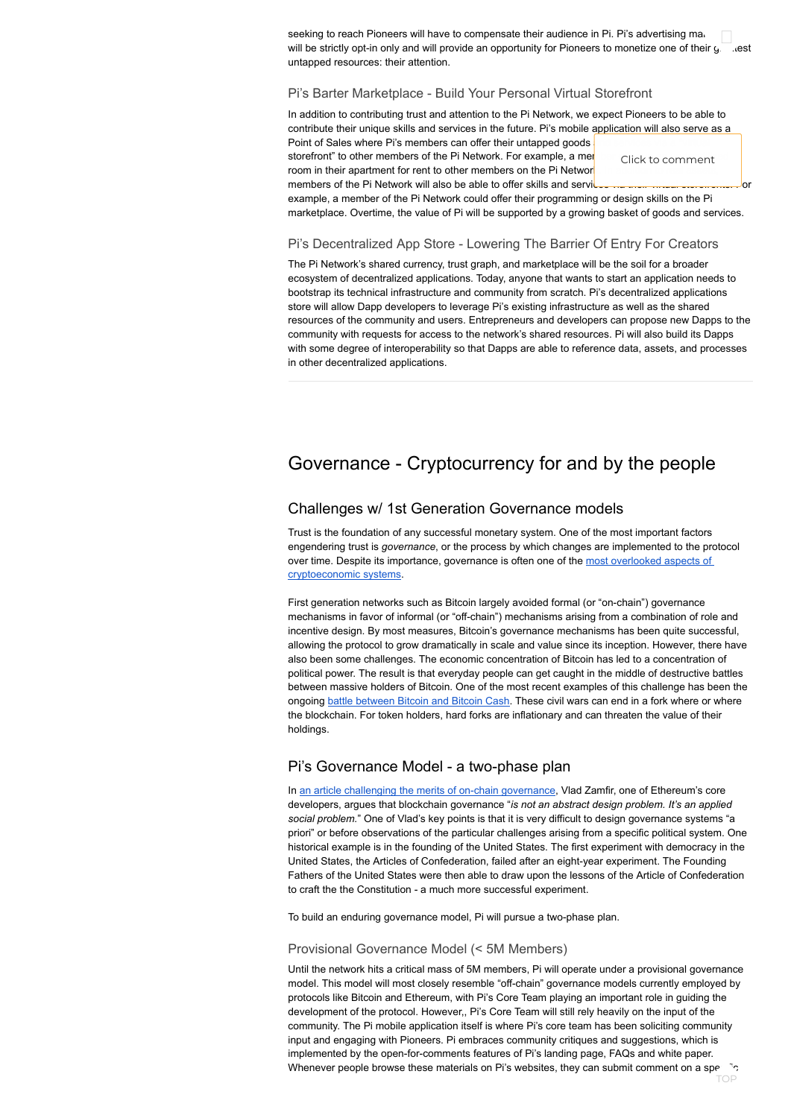seeking to reach Pioneers will have to compensate their audience in Pi. Pi's advertising market seeking to reach Pioneers will have to compensate their audience in Pi. Pi's advertising ma،<br>will be strictly opt-in only and will provide an opportunity for Pioneers to monetize one of their g. ،،est untapped resources: their attention.

In addition to contributing trust and attention to the Pi Network, we expect Pioneers to be able to contribute their unique skills and services in the future. Pi's mobile application will also serve as a Point of Sales where Pi's members can offer their untapped goods

storefront" to other members of the Pi Network. For example, a mer room in their apartment for rent to other members on the Pi Network members of the Pi Network will also be able to offer skills and services via their virtual storeholds. For

#### Pi's Barter Marketplace - Build Your Personal Virtual Storefront

example, a member of the Pi Network could offer their programming or design skills on the Pi marketplace. Overtime, the value of Pi will be supported by a growing basket of goods and services.

### Pi's Decentralized App Store - Lowering The Barrier Of Entry For Creators

<span id="page-8-0"></span>The Pi Network's shared currency, trust graph, and marketplace will be the soil for a broader ecosystem of decentralized applications. Today, anyone that wants to start an application needs to bootstrap its technical infrastructure and community from scratch. Pi's decentralized applications store will allow Dapp developers to leverage Pi's existing infrastructure as well as the shared resources of the community and users. Entrepreneurs and developers can propose new Dapps to the community with requests for access to the network's shared resources. Pi will also build its Dapps with some degree of interoperability so that Dapps are able to reference data, assets, and processes in other decentralized applications.

## Governance - Cryptocurrency for and by the people

### Challenges w/ 1st Generation Governance models

In an article challenging the merits of on-chain [governance](https://medium.com/@Vlad_Zamfir/against-on-chain-governance-a4ceacd040ca), Vlad Zamfir, one of Ethereum's core developers, argues that blockchain governance "*is not an abstract design problem. It's an applied social problem.*" One of Vlad's key points is that it is very difficult to design governance systems "a priori" or before observations of the particular challenges arising from a specific political system. One historical example is in the founding of the United States. The first experiment with democracy in the United States, the Articles of Confederation, failed after an eight-year experiment. The Founding Fathers of the United States were then able to draw upon the lessons of the Article of Confederation to craft the the Constitution - a much more successful experiment.

Trust is the foundation of any successful monetary system. One of the most important factors engendering trust is *governance*, or the process by which changes are implemented to the protocol over time. Despite its importance, governance is often one of the most overlooked aspects of [cryptoeconomic](https://medium.com/@FEhrsam/blockchain-governance-programming-our-future-c3bfe30f2d74) systems.

First generation networks such as Bitcoin largely avoided formal (or "on-chain") governance mechanisms in favor of informal (or "off-chain") mechanisms arising from a combination of role and incentive design. By most measures, Bitcoin's governance mechanisms has been quite successful, allowing the protocol to grow dramatically in scale and value since its inception. However, there have also been some challenges. The economic concentration of Bitcoin has led to a concentration of political power. The result is that everyday people can get caught in the middle of destructive battles between massive holders of Bitcoin. One of the most recent examples of this challenge has been the ongoing battle [between](https://www.coindesk.com/bitcoin-cash-developers-set-date-november-hard-fork) Bitcoin and Bitcoin Cash. These civil wars can end in a fork where or where the blockchain. For token holders, hard forks are inflationary and can threaten the value of their holdings.

### Pi's Governance Model - a two-phase plan

To build an enduring governance model, Pi will pursue a two-phase plan.

#### Provisional Governance Model (< 5M Members)

Until the network hits a critical mass of 5M members, Pi will operate under a provisional governance model. This model will most closely resemble "off-chain" governance models currently employed by protocols like Bitcoin and Ethereum, with Pi's Core Team playing an important role in guiding the development of the protocol. However,, Pi's Core Team will still rely heavily on the input of the community. The Pi mobile application itself is where Pi's core team has been soliciting community input and engaging with Pioneers. Pi embraces community critiques and suggestions, which is implemented by the open-for-comments features of Pi's landing page, FAQs and white paper. Whenever people browse these materials on Pi's websites, they can submit comment on a specific TOP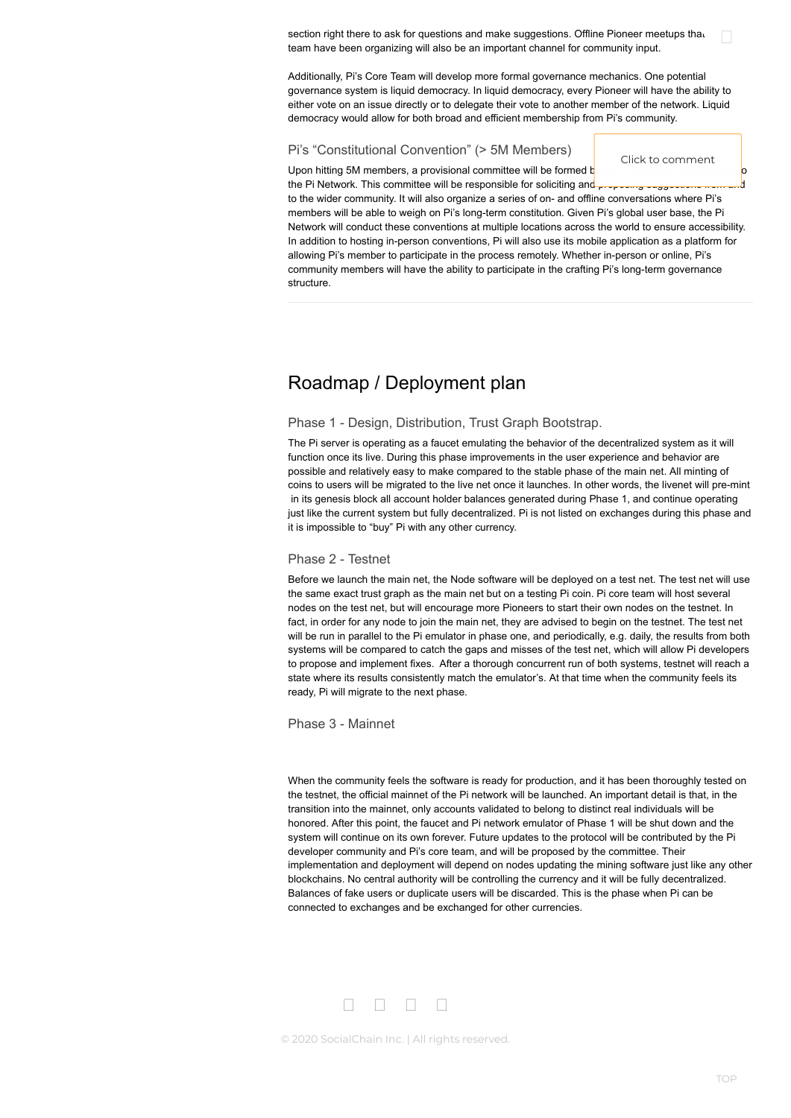section right there to ask for questions and make suggestions. Offline Pioneer meetups that team have been organizing will also be an important channel for community input.

Additionally, Pi's Core Team will develop more formal governance mechanics. One potential governance system is liquid democracy. In liquid democracy, every Pioneer will have the ability to either vote on an issue directly or to delegate their vote to another member of the network. Liquid democracy would allow for both broad and efficient membership from Pi's community.

#### Pi's "Constitutional Convention" (> 5M Members)

<span id="page-9-0"></span>to the wider community. It will also organize a series of on- and offline conversations where Pi's members will be able to weigh on Pi's long-term constitution. Given Pi's global user base, the Pi Network will conduct these conventions at multiple locations across the world to ensure accessibility. In addition to hosting in-person conventions, Pi will also use its mobile application as a platform for allowing Pi's member to participate in the process remotely. Whether in-person or online, Pi's community members will have the ability to participate in the crafting Pi's long-term governance structure.

## Roadmap / Deployment plan

#### Phase 1 - Design, Distribution, Trust Graph Bootstrap.

The Pi server is operating as a faucet emulating the behavior of the decentralized system as it will function once its live. During this phase improvements in the user experience and behavior are possible and relatively easy to make compared to the stable phase of the main net. All minting of coins to users will be migrated to the live net once it launches. In other words, the livenet will pre-mint in its genesis block all account holder balances generated during Phase 1, and continue operating just like the current system but fully decentralized. Pi is not listed on exchanges during this phase and it is impossible to "buy" Pi with any other currency.

#### Phase 2 - Testnet

Before we launch the main net, the Node software will be deployed on a test net. The test net will use the same exact trust graph as the main net but on a testing Pi coin. Pi core team will host several nodes on the test net, but will encourage more Pioneers to start their own nodes on the testnet. In fact, in order for any node to join the main net, they are advised to begin on the testnet. The test net will be run in parallel to the Pi emulator in phase one, and periodically, e.g. daily, the results from both systems will be compared to catch the gaps and misses of the test net, which will allow Pi developers to propose and implement fixes. After a thorough concurrent run of both systems, testnet will reach a state where its results consistently match the emulator's. At that time when the community feels its ready, Pi will migrate to the next phase.

Phase 3 - Mainnet

When the community feels the software is ready for production, and it has been thoroughly tested on the testnet, the official mainnet of the Pi network will be launched. An important detail is that, in the transition into the mainnet, only accounts validated to belong to distinct real individuals will be honored. After this point, the faucet and Pi network emulator of Phase 1 will be shut down and the system will continue on its own forever. Future updates to the protocol will be contributed by the Pi developer community and Pi's core team, and will be proposed by the committee. Their implementation and deployment will depend on nodes updating the mining software just like any other blockchains. No central authority will be controlling the currency and it will be fully decentralized. Balances of fake users or duplicate users will be discarded. This is the phase when Pi can be connected to exchanges and be exchanged for other currencies.

## 

© 2020 SocialChain Inc. | All rights reserved.

Click to comment

 $\hfill \square$ 

Upon hitting 5M members, a provisional committee will be formed  $b$ the Pi Network. This committee will be responsible for soliciting and proposing suggestions from a

TOP